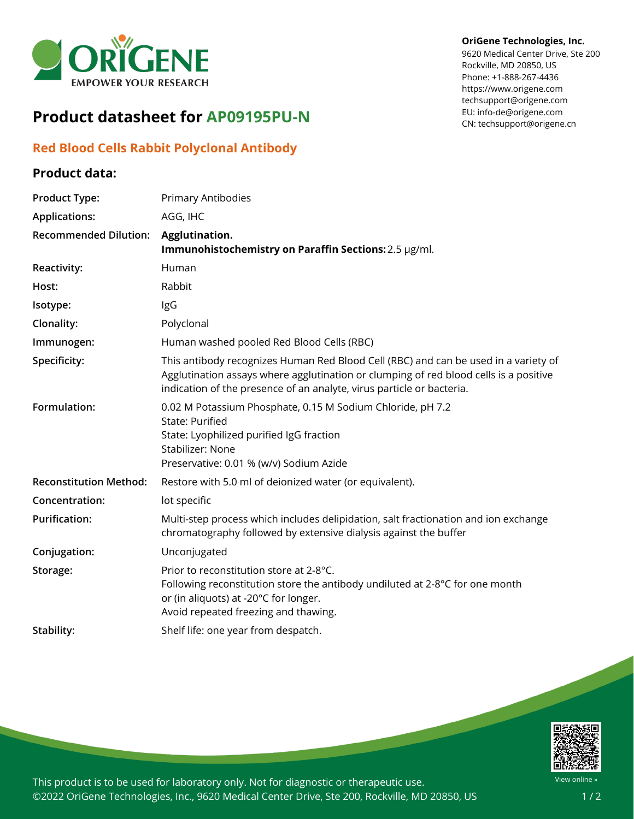

# **Product datasheet for AP09195PU-N**

### **Red Blood Cells Rabbit Polyclonal Antibody**

### **Product data:**

### **OriGene Technologies, Inc.**

9620 Medical Center Drive, Ste 200 Rockville, MD 20850, US Phone: +1-888-267-4436 https://www.origene.com techsupport@origene.com EU: info-de@origene.com CN: techsupport@origene.cn

| <b>Product Type:</b>          | <b>Primary Antibodies</b>                                                                                                                                                                                                                             |
|-------------------------------|-------------------------------------------------------------------------------------------------------------------------------------------------------------------------------------------------------------------------------------------------------|
| <b>Applications:</b>          | AGG, IHC                                                                                                                                                                                                                                              |
| <b>Recommended Dilution:</b>  | Agglutination.<br>Immunohistochemistry on Paraffin Sections: 2.5 µg/ml.                                                                                                                                                                               |
| Reactivity:                   | Human                                                                                                                                                                                                                                                 |
| Host:                         | Rabbit                                                                                                                                                                                                                                                |
| Isotype:                      | IgG                                                                                                                                                                                                                                                   |
| Clonality:                    | Polyclonal                                                                                                                                                                                                                                            |
| Immunogen:                    | Human washed pooled Red Blood Cells (RBC)                                                                                                                                                                                                             |
| Specificity:                  | This antibody recognizes Human Red Blood Cell (RBC) and can be used in a variety of<br>Agglutination assays where agglutination or clumping of red blood cells is a positive<br>indication of the presence of an analyte, virus particle or bacteria. |
| Formulation:                  | 0.02 M Potassium Phosphate, 0.15 M Sodium Chloride, pH 7.2<br><b>State: Purified</b><br>State: Lyophilized purified IgG fraction<br>Stabilizer: None<br>Preservative: 0.01 % (w/v) Sodium Azide                                                       |
| <b>Reconstitution Method:</b> | Restore with 5.0 ml of deionized water (or equivalent).                                                                                                                                                                                               |
| Concentration:                | lot specific                                                                                                                                                                                                                                          |
| <b>Purification:</b>          | Multi-step process which includes delipidation, salt fractionation and ion exchange<br>chromatography followed by extensive dialysis against the buffer                                                                                               |
| Conjugation:                  | Unconjugated                                                                                                                                                                                                                                          |
| Storage:                      | Prior to reconstitution store at 2-8°C.<br>Following reconstitution store the antibody undiluted at 2-8°C for one month<br>or (in aliquots) at -20°C for longer.<br>Avoid repeated freezing and thawing.                                              |
| Stability:                    | Shelf life: one year from despatch.                                                                                                                                                                                                                   |



This product is to be used for laboratory only. Not for diagnostic or therapeutic use. ©2022 OriGene Technologies, Inc., 9620 Medical Center Drive, Ste 200, Rockville, MD 20850, US